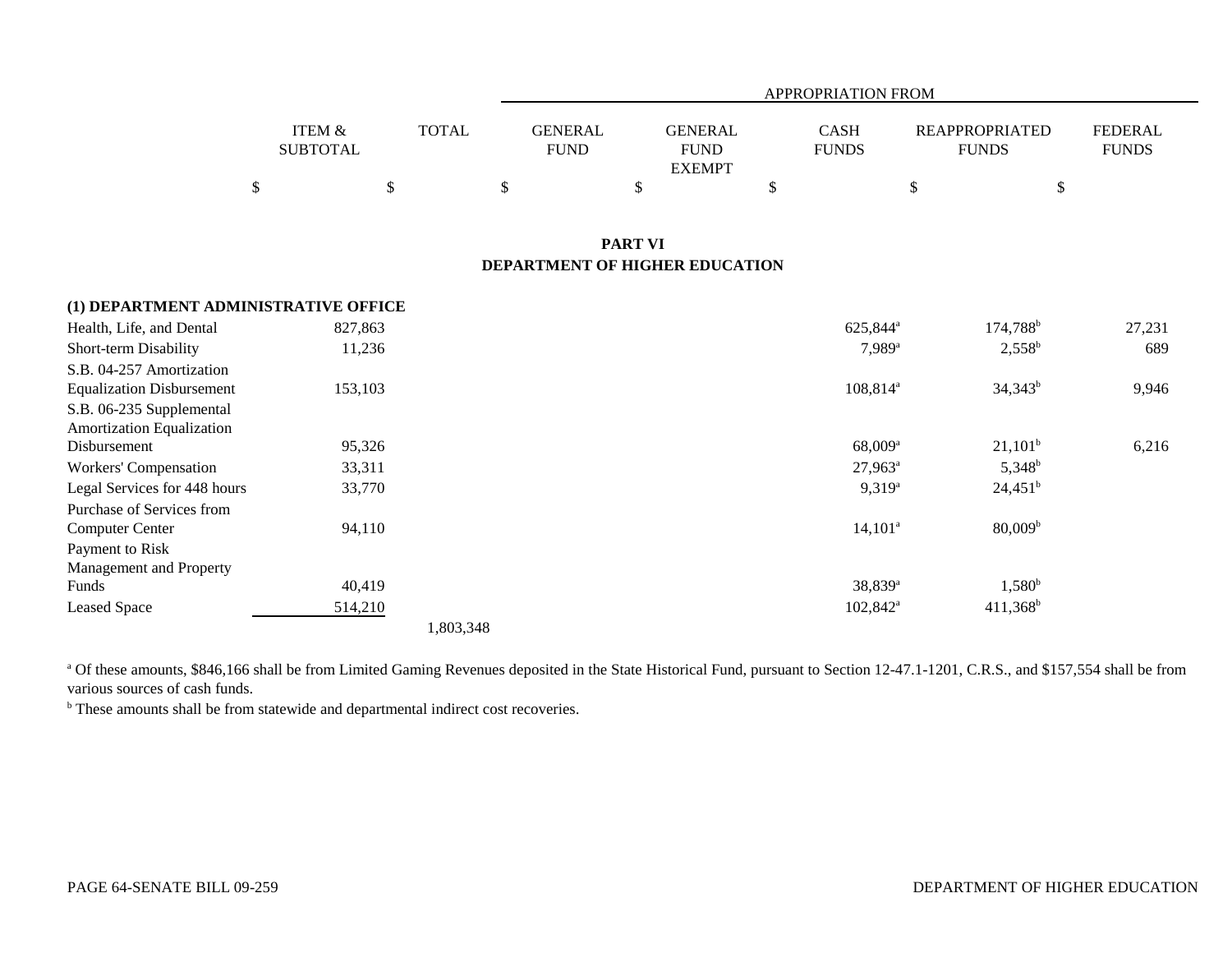|                           |              |                               | APPROPRIATION FROM                             |                             |                                       |                                |  |  |  |  |  |
|---------------------------|--------------|-------------------------------|------------------------------------------------|-----------------------------|---------------------------------------|--------------------------------|--|--|--|--|--|
| ITEM &<br><b>SUBTOTAL</b> | <b>TOTAL</b> | <b>GENERAL</b><br><b>FUND</b> | <b>GENERAL</b><br><b>FUND</b><br><b>EXEMPT</b> | <b>CASH</b><br><b>FUNDS</b> | <b>REAPPROPRIATED</b><br><b>FUNDS</b> | <b>FEDERAL</b><br><b>FUNDS</b> |  |  |  |  |  |
| Ъ.                        |              |                               |                                                |                             |                                       | \$                             |  |  |  |  |  |
|                           |              |                               |                                                |                             |                                       |                                |  |  |  |  |  |

## **PART VI DEPARTMENT OF HIGHER EDUCATION**

| (1) DEPARTMENT ADMINISTRATIVE OFFICE |           |                   |                                                                                                                                                                                 |
|--------------------------------------|-----------|-------------------|---------------------------------------------------------------------------------------------------------------------------------------------------------------------------------|
| 827,863                              |           | $174,788^{\rm b}$ | 27,231                                                                                                                                                                          |
| 11,236                               |           | $2,558^b$         | 689                                                                                                                                                                             |
|                                      |           |                   |                                                                                                                                                                                 |
| 153,103                              |           | $34,343^b$        | 9,946                                                                                                                                                                           |
|                                      |           |                   |                                                                                                                                                                                 |
|                                      |           |                   |                                                                                                                                                                                 |
| 95,326                               |           | $21,101^b$        | 6,216                                                                                                                                                                           |
| 33,311                               |           | $5,348^b$         |                                                                                                                                                                                 |
| 33,770                               |           | $24,451^b$        |                                                                                                                                                                                 |
|                                      |           |                   |                                                                                                                                                                                 |
| 94,110                               |           | $80,009^{\rm b}$  |                                                                                                                                                                                 |
|                                      |           |                   |                                                                                                                                                                                 |
|                                      |           |                   |                                                                                                                                                                                 |
| 40,419                               |           | $1,580^{\rm b}$   |                                                                                                                                                                                 |
| 514,210                              |           | $411,368^b$       |                                                                                                                                                                                 |
|                                      | 1,803,348 |                   |                                                                                                                                                                                 |
|                                      |           |                   | 625,844 <sup>a</sup><br>$7,989^{\rm a}$<br>$108,814^{\circ}$<br>$68,009$ <sup>a</sup><br>$27,963^a$<br>$9,319^a$<br>$14,101^a$<br>38,839 <sup>a</sup><br>$102,842^{\mathrm{a}}$ |

<sup>a</sup> Of these amounts, \$846,166 shall be from Limited Gaming Revenues deposited in the State Historical Fund, pursuant to Section 12-47.1-1201, C.R.S., and \$157,554 shall be from various sources of cash funds.

<sup>b</sup> These amounts shall be from statewide and departmental indirect cost recoveries.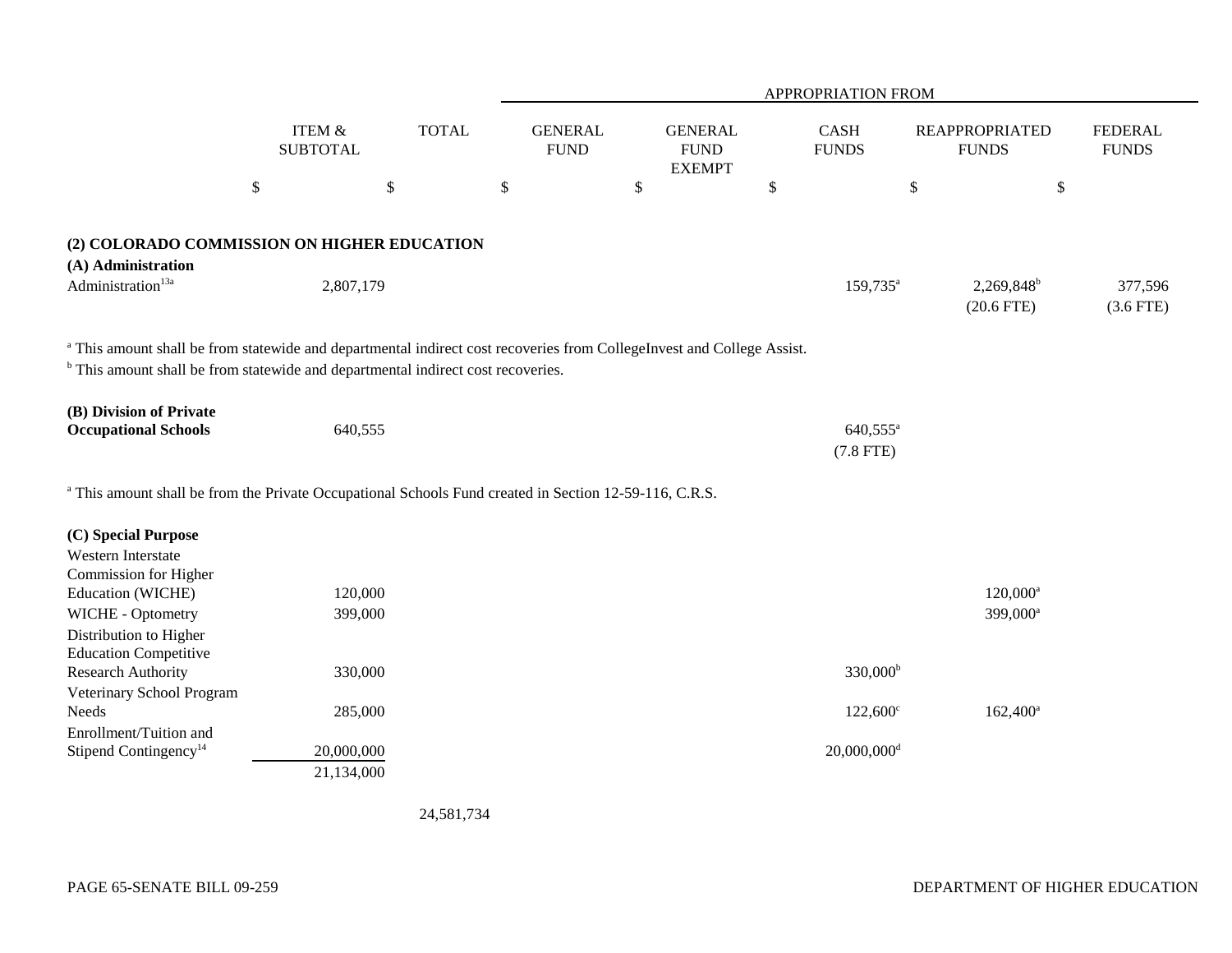|                                                                                                                                                                                                                       |                                      |              |                               |                                                |                             | APPROPRIATION FROM                  |                                        |                                |
|-----------------------------------------------------------------------------------------------------------------------------------------------------------------------------------------------------------------------|--------------------------------------|--------------|-------------------------------|------------------------------------------------|-----------------------------|-------------------------------------|----------------------------------------|--------------------------------|
|                                                                                                                                                                                                                       | <b>ITEM &amp;</b><br><b>SUBTOTAL</b> | <b>TOTAL</b> | <b>GENERAL</b><br><b>FUND</b> | <b>GENERAL</b><br><b>FUND</b><br><b>EXEMPT</b> | <b>CASH</b><br><b>FUNDS</b> |                                     | <b>REAPPROPRIATED</b><br><b>FUNDS</b>  | <b>FEDERAL</b><br><b>FUNDS</b> |
| $\$\,$                                                                                                                                                                                                                |                                      | \$           | \$                            | $\boldsymbol{\mathsf{S}}$                      | $\boldsymbol{\mathsf{S}}$   | $\mathbb{S}$                        | \$                                     |                                |
| (2) COLORADO COMMISSION ON HIGHER EDUCATION<br>(A) Administration                                                                                                                                                     |                                      |              |                               |                                                |                             |                                     |                                        |                                |
| Administration <sup>13a</sup>                                                                                                                                                                                         | 2,807,179                            |              |                               |                                                |                             | 159,735 <sup>a</sup>                | 2,269,848 <sup>b</sup><br>$(20.6$ FTE) | 377,596<br>$(3.6$ FTE)         |
| a This amount shall be from statewide and departmental indirect cost recoveries from CollegeInvest and College Assist.<br><sup>b</sup> This amount shall be from statewide and departmental indirect cost recoveries. |                                      |              |                               |                                                |                             |                                     |                                        |                                |
| (B) Division of Private<br><b>Occupational Schools</b>                                                                                                                                                                | 640,555                              |              |                               |                                                |                             | 640,555 <sup>a</sup><br>$(7.8$ FTE) |                                        |                                |
| <sup>a</sup> This amount shall be from the Private Occupational Schools Fund created in Section 12-59-116, C.R.S.                                                                                                     |                                      |              |                               |                                                |                             |                                     |                                        |                                |
| (C) Special Purpose<br>Western Interstate<br>Commission for Higher                                                                                                                                                    |                                      |              |                               |                                                |                             |                                     |                                        |                                |
| Education (WICHE)<br>WICHE - Optometry<br>Distribution to Higher                                                                                                                                                      | 120,000<br>399,000                   |              |                               |                                                |                             |                                     | $120,000^a$<br>399,000 <sup>a</sup>    |                                |
| <b>Education Competitive</b><br><b>Research Authority</b><br>Veterinary School Program                                                                                                                                | 330,000                              |              |                               |                                                |                             | $330,000^{\rm b}$                   |                                        |                                |
| Needs                                                                                                                                                                                                                 | 285,000                              |              |                               |                                                |                             | $122,600^{\circ}$                   | $162,400^a$                            |                                |
| Enrollment/Tuition and<br>Stipend Contingency <sup>14</sup>                                                                                                                                                           | 20,000,000<br>21,134,000             |              |                               |                                                |                             | $20,000,000$ <sup>d</sup>           |                                        |                                |

24,581,734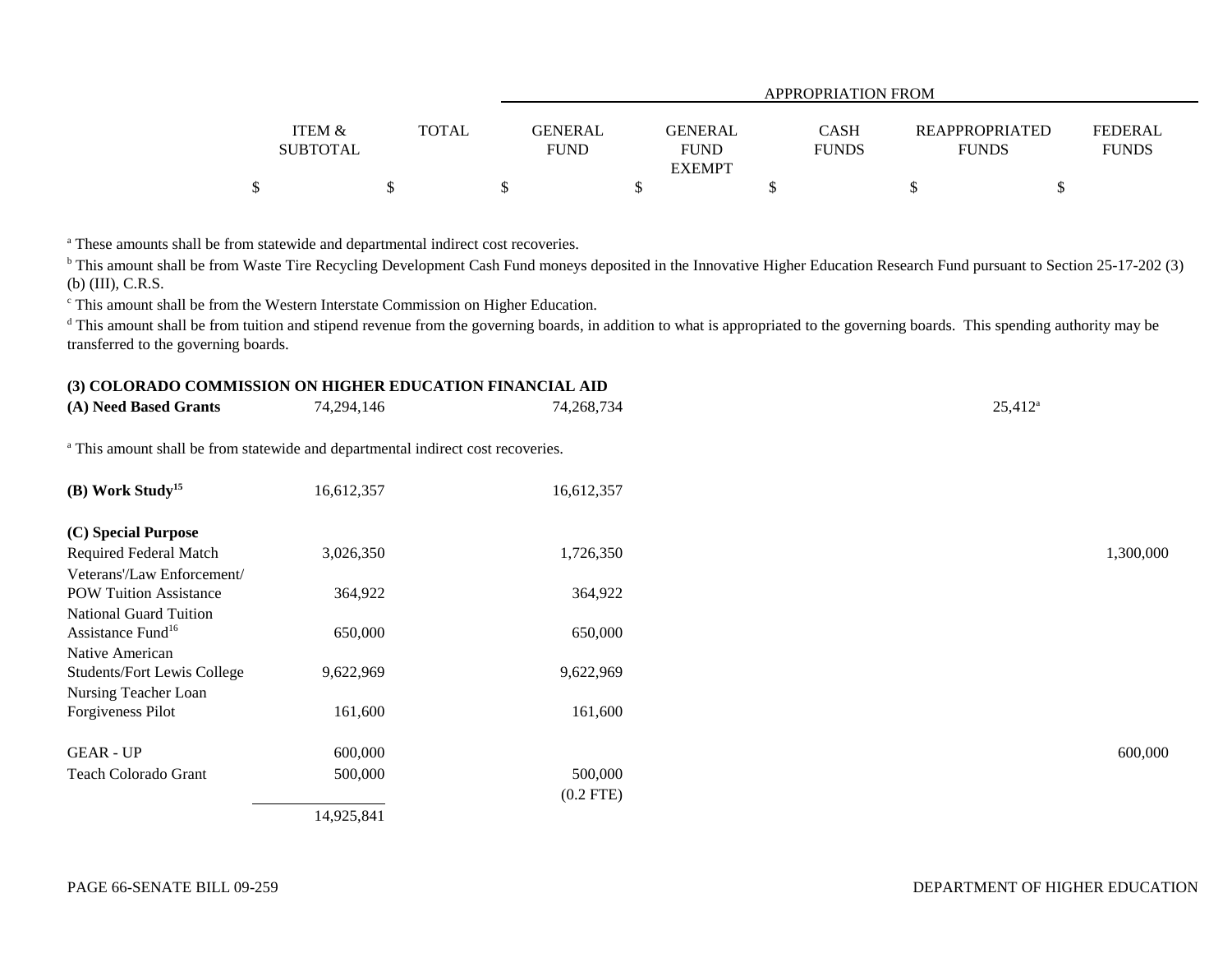|                                      |              |                        | APPROPRIATION FROM            |                             |                                |                                |  |  |  |  |
|--------------------------------------|--------------|------------------------|-------------------------------|-----------------------------|--------------------------------|--------------------------------|--|--|--|--|
| <b>ITEM &amp;</b><br><b>SUBTOTAL</b> | <b>TOTAL</b> | GENERAL<br><b>FUND</b> | <b>GENERAL</b><br><b>FUND</b> | <b>CASH</b><br><b>FUNDS</b> | REAPPROPRIATED<br><b>FUNDS</b> | <b>FEDERAL</b><br><b>FUNDS</b> |  |  |  |  |
|                                      |              |                        | <b>EXEMPT</b>                 |                             |                                |                                |  |  |  |  |
|                                      |              |                        |                               |                             |                                |                                |  |  |  |  |

<sup>a</sup> These amounts shall be from statewide and departmental indirect cost recoveries.

<sup>b</sup> This amount shall be from Waste Tire Recycling Development Cash Fund moneys deposited in the Innovative Higher Education Research Fund pursuant to Section 25-17-202 (3) (b) (III), C.R.S.

c This amount shall be from the Western Interstate Commission on Higher Education.

<sup>d</sup> This amount shall be from tuition and stipend revenue from the governing boards, in addition to what is appropriated to the governing boards. This spending authority may be transferred to the governing boards.

## **(3) COLORADO COMMISSION ON HIGHER EDUCATION FINANCIAL AID**

| (A) Need Based Grants                                                                       | 74,294,146 | 74,268,734  | $25,412^a$ |
|---------------------------------------------------------------------------------------------|------------|-------------|------------|
| <sup>a</sup> This amount shall be from statewide and departmental indirect cost recoveries. |            |             |            |
| (B) Work Study <sup>15</sup>                                                                | 16,612,357 | 16,612,357  |            |
| (C) Special Purpose                                                                         |            |             |            |
| Required Federal Match                                                                      | 3,026,350  | 1,726,350   | 1,300,000  |
| Veterans'/Law Enforcement/                                                                  |            |             |            |
| <b>POW Tuition Assistance</b>                                                               | 364,922    | 364,922     |            |
| <b>National Guard Tuition</b>                                                               |            |             |            |
| Assistance Fund <sup>16</sup>                                                               | 650,000    | 650,000     |            |
| Native American                                                                             |            |             |            |
| <b>Students/Fort Lewis College</b>                                                          | 9,622,969  | 9,622,969   |            |
| Nursing Teacher Loan                                                                        |            |             |            |
| Forgiveness Pilot                                                                           | 161,600    | 161,600     |            |
| <b>GEAR - UP</b>                                                                            | 600,000    |             | 600,000    |
| Teach Colorado Grant                                                                        | 500,000    | 500,000     |            |
|                                                                                             |            | $(0.2$ FTE) |            |
|                                                                                             | 14,925,841 |             |            |
|                                                                                             |            |             |            |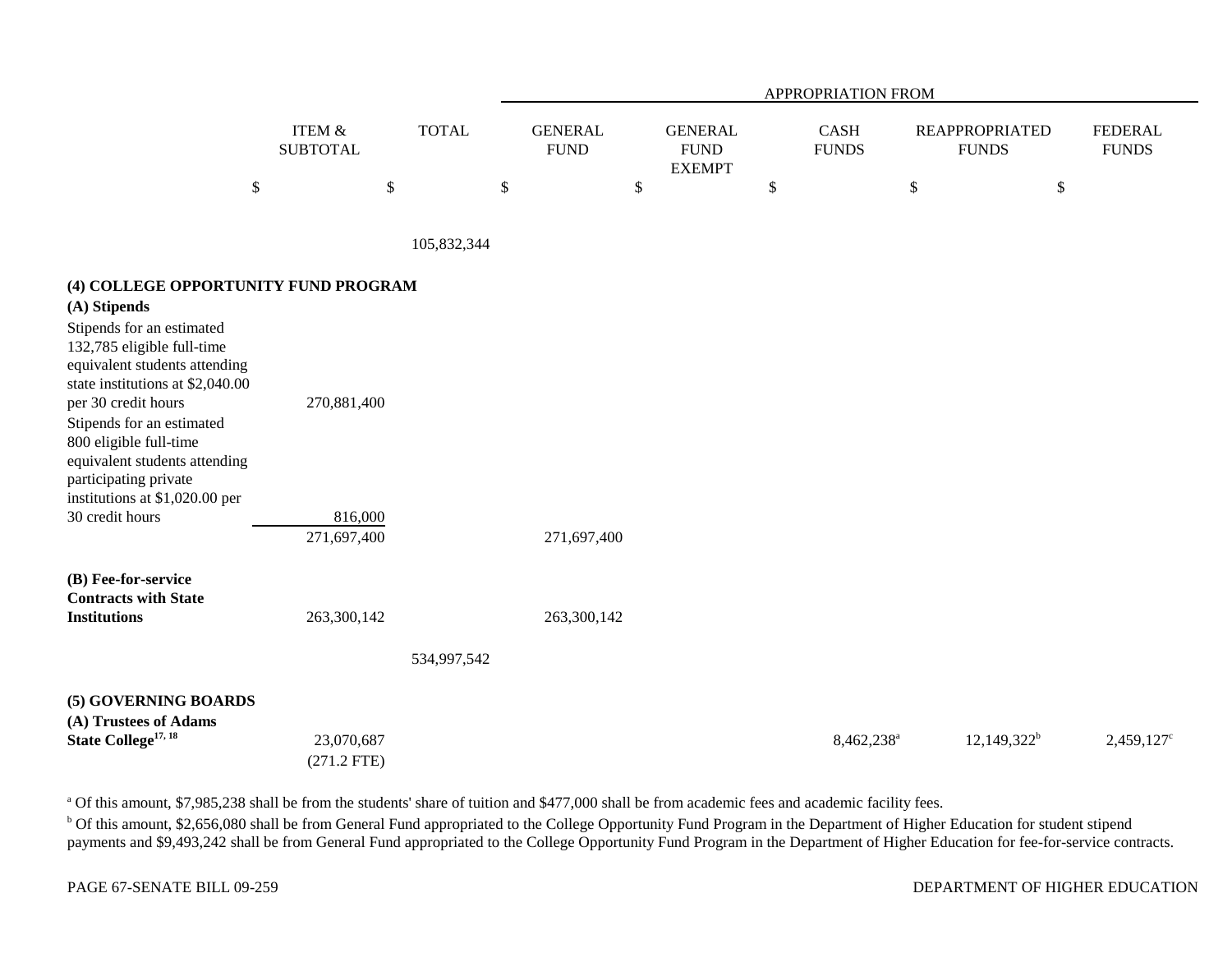|                                                                                                                                                                                                                                                                                                                                                                                   |                                       |              |                               |                                                 | APPROPRIATION FROM     |      |                                       |                                |
|-----------------------------------------------------------------------------------------------------------------------------------------------------------------------------------------------------------------------------------------------------------------------------------------------------------------------------------------------------------------------------------|---------------------------------------|--------------|-------------------------------|-------------------------------------------------|------------------------|------|---------------------------------------|--------------------------------|
|                                                                                                                                                                                                                                                                                                                                                                                   | <b>ITEM &amp;</b><br><b>SUBTOTAL</b>  | <b>TOTAL</b> | <b>GENERAL</b><br><b>FUND</b> | <b>GENERAL</b><br>${\rm FUND}$<br><b>EXEMPT</b> | CASH<br><b>FUNDS</b>   |      | <b>REAPPROPRIATED</b><br><b>FUNDS</b> | <b>FEDERAL</b><br><b>FUNDS</b> |
| \$                                                                                                                                                                                                                                                                                                                                                                                |                                       | $\$$         | \$<br>$\$$                    |                                                 | \$                     | $\$$ | \$                                    |                                |
|                                                                                                                                                                                                                                                                                                                                                                                   |                                       | 105,832,344  |                               |                                                 |                        |      |                                       |                                |
| (4) COLLEGE OPPORTUNITY FUND PROGRAM<br>(A) Stipends<br>Stipends for an estimated<br>132,785 eligible full-time<br>equivalent students attending<br>state institutions at \$2,040.00<br>per 30 credit hours<br>Stipends for an estimated<br>800 eligible full-time<br>equivalent students attending<br>participating private<br>institutions at \$1,020.00 per<br>30 credit hours | 270,881,400<br>816,000<br>271,697,400 |              | 271,697,400                   |                                                 |                        |      |                                       |                                |
| (B) Fee-for-service<br><b>Contracts with State</b><br><b>Institutions</b>                                                                                                                                                                                                                                                                                                         | 263,300,142                           | 534,997,542  | 263,300,142                   |                                                 |                        |      |                                       |                                |
| (5) GOVERNING BOARDS<br>(A) Trustees of Adams<br>State College <sup>17, 18</sup>                                                                                                                                                                                                                                                                                                  | 23,070,687<br>$(271.2$ FTE)           |              |                               |                                                 | 8,462,238 <sup>a</sup> |      | $12,149,322^b$                        | 2,459,127 <sup>c</sup>         |

<sup>a</sup> Of this amount, \$7,985,238 shall be from the students' share of tuition and \$477,000 shall be from academic fees and academic facility fees.

<sup>b</sup> Of this amount, \$2,656,080 shall be from General Fund appropriated to the College Opportunity Fund Program in the Department of Higher Education for student stipend payments and \$9,493,242 shall be from General Fund appropriated to the College Opportunity Fund Program in the Department of Higher Education for fee-for-service contracts.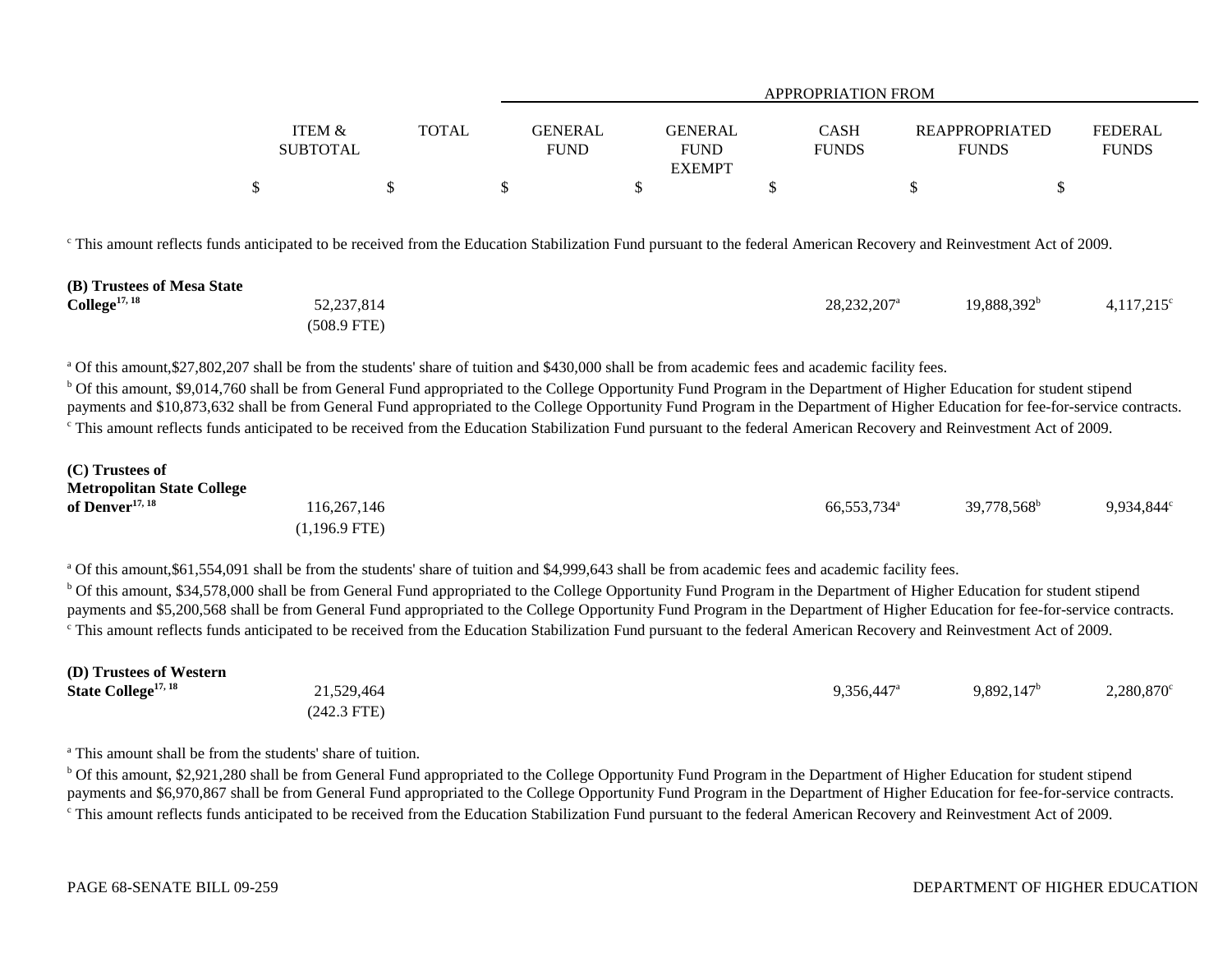|                   |              |             | <b>APPROPRIATION FROM</b> |              |                       |                |  |  |  |
|-------------------|--------------|-------------|---------------------------|--------------|-----------------------|----------------|--|--|--|
|                   |              |             |                           |              |                       |                |  |  |  |
| <b>ITEM &amp;</b> | <b>TOTAL</b> | GENERAL     | <b>GENERAL</b>            | <b>CASH</b>  | <b>REAPPROPRIATED</b> | <b>FEDERAL</b> |  |  |  |
| <b>SUBTOTAL</b>   |              | <b>FUND</b> | <b>FUND</b>               | <b>FUNDS</b> | <b>FUNDS</b>          | <b>FUNDS</b>   |  |  |  |
|                   |              |             | <b>EXEMPT</b>             |              |                       |                |  |  |  |
| Φ                 |              |             |                           |              |                       |                |  |  |  |

<sup>c</sup> This amount reflects funds anticipated to be received from the Education Stabilization Fund pursuant to the federal American Recovery and Reinvestment Act of 2009.

| (B) Trustees of Mesa State |             |                           |                |                     |
|----------------------------|-------------|---------------------------|----------------|---------------------|
| $\text{College}^{17, 18}$  | 52,237,814  | $28,232,207$ <sup>a</sup> | $19,888,392^b$ | $4,117,215^{\circ}$ |
|                            | (508.9 FTE) |                           |                |                     |

<sup>a</sup> Of this amount, \$27,802,207 shall be from the students' share of tuition and \$430,000 shall be from academic fees and academic facility fees.

<sup>b</sup> Of this amount, \$9,014,760 shall be from General Fund appropriated to the College Opportunity Fund Program in the Department of Higher Education for student stipend payments and \$10,873,632 shall be from General Fund appropriated to the College Opportunity Fund Program in the Department of Higher Education for fee-for-service contracts. <sup>c</sup> This amount reflects funds anticipated to be received from the Education Stabilization Fund pursuant to the federal American Recovery and Reinvestment Act of 2009.

| (C) Trustees of                   |               |                         |                         |            |
|-----------------------------------|---------------|-------------------------|-------------------------|------------|
| <b>Metropolitan State College</b> |               |                         |                         |            |
| of Denver <sup>17, 18</sup>       | 116,267,146   | 66,553,734 <sup>a</sup> | 39,778,568 <sup>b</sup> | 9,934,844° |
|                                   | (1,196.9 FTE) |                         |                         |            |

a Of this amount,\$61,554,091 shall be from the students' share of tuition and \$4,999,643 shall be from academic fees and academic facility fees.

b Of this amount, \$34,578,000 shall be from General Fund appropriated to the College Opportunity Fund Program in the Department of Higher Education for student stipend payments and \$5,200,568 shall be from General Fund appropriated to the College Opportunity Fund Program in the Department of Higher Education for fee-for-service contracts. <sup>c</sup> This amount reflects funds anticipated to be received from the Education Stabilization Fund pursuant to the federal American Recovery and Reinvestment Act of 2009.

| (D) Trustees of Western         |               |                     |               |                        |
|---------------------------------|---------------|---------------------|---------------|------------------------|
| State College <sup>17, 18</sup> | 21,529,464    | $9,356,447^{\circ}$ | $9,892,147^b$ | 2,280,870 <sup>c</sup> |
|                                 | $(242.3$ FTE) |                     |               |                        |

<sup>a</sup> This amount shall be from the students' share of tuition.

<sup>b</sup> Of this amount, \$2,921,280 shall be from General Fund appropriated to the College Opportunity Fund Program in the Department of Higher Education for student stipend payments and \$6,970,867 shall be from General Fund appropriated to the College Opportunity Fund Program in the Department of Higher Education for fee-for-service contracts. <sup>c</sup> This amount reflects funds anticipated to be received from the Education Stabilization Fund pursuant to the federal American Recovery and Reinvestment Act of 2009.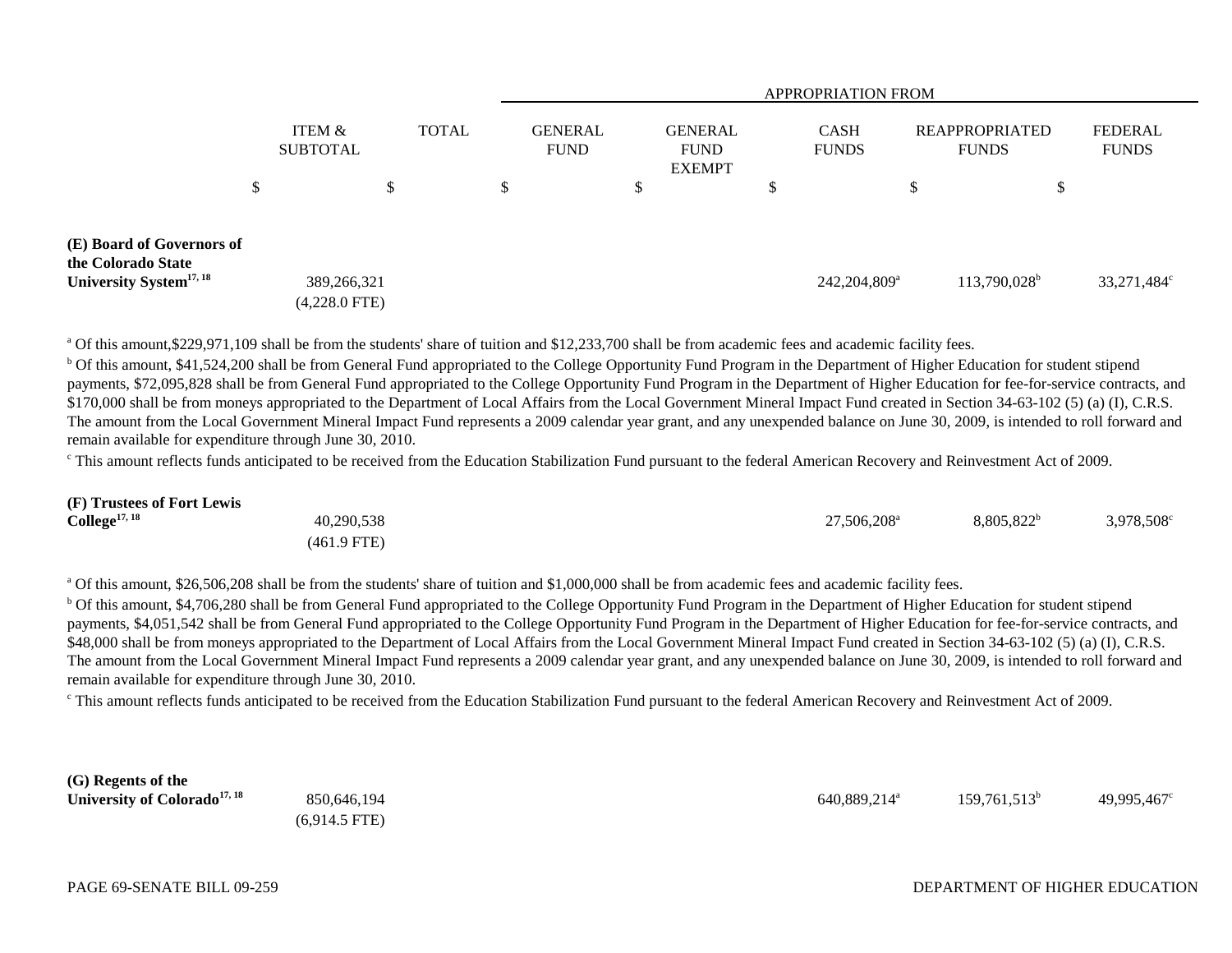|                                                                                        |                                |              | APPROPRIATION FROM            |    |                                                |    |                             |    |                                       |    |                         |
|----------------------------------------------------------------------------------------|--------------------------------|--------------|-------------------------------|----|------------------------------------------------|----|-----------------------------|----|---------------------------------------|----|-------------------------|
|                                                                                        | ITEM &<br><b>SUBTOTAL</b>      | <b>TOTAL</b> | <b>GENERAL</b><br><b>FUND</b> |    | <b>GENERAL</b><br><b>FUND</b><br><b>EXEMPT</b> |    | <b>CASH</b><br><b>FUNDS</b> |    | <b>REAPPROPRIATED</b><br><b>FUNDS</b> |    | FEDERAL<br><b>FUNDS</b> |
|                                                                                        | \$                             | \$           | \$                            | \$ |                                                | \$ |                             | \$ |                                       | \$ |                         |
| (E) Board of Governors of<br>the Colorado State<br>University System <sup>17, 18</sup> | 389,266,321<br>$(4,228.0$ FTE) |              |                               |    |                                                |    | 242,204,809 <sup>a</sup>    |    | 113,790,028 <sup>b</sup>              |    | 33,271,484°             |

<sup>a</sup> Of this amount, \$229,971,109 shall be from the students' share of tuition and \$12,233,700 shall be from academic fees and academic facility fees.

<sup>b</sup> Of this amount, \$41,524,200 shall be from General Fund appropriated to the College Opportunity Fund Program in the Department of Higher Education for student stipend payments, \$72,095,828 shall be from General Fund appropriated to the College Opportunity Fund Program in the Department of Higher Education for fee-for-service contracts, and \$170,000 shall be from moneys appropriated to the Department of Local Affairs from the Local Government Mineral Impact Fund created in Section 34-63-102 (5) (a) (I), C.R.S. The amount from the Local Government Mineral Impact Fund represents a 2009 calendar year grant, and any unexpended balance on June 30, 2009, is intended to roll forward and remain available for expenditure through June 30, 2010.

<sup>c</sup> This amount reflects funds anticipated to be received from the Education Stabilization Fund pursuant to the federal American Recovery and Reinvestment Act of 2009.

| (F) Trustees of Fort Lewis |               |                         |               |                        |
|----------------------------|---------------|-------------------------|---------------|------------------------|
| $\text{College}^{17, 18}$  | 40,290,538    | 27.506.208 <sup>a</sup> | $8,805,822^b$ | 3,978,508 <sup>c</sup> |
|                            | $(461.9$ FTE) |                         |               |                        |

<sup>a</sup> Of this amount, \$26,506,208 shall be from the students' share of tuition and \$1,000,000 shall be from academic fees and academic facility fees.

<sup>b</sup> Of this amount, \$4,706,280 shall be from General Fund appropriated to the College Opportunity Fund Program in the Department of Higher Education for student stipend payments, \$4,051,542 shall be from General Fund appropriated to the College Opportunity Fund Program in the Department of Higher Education for fee-for-service contracts, and \$48,000 shall be from moneys appropriated to the Department of Local Affairs from the Local Government Mineral Impact Fund created in Section 34-63-102 (5) (a) (I), C.R.S. The amount from the Local Government Mineral Impact Fund represents a 2009 calendar year grant, and any unexpended balance on June 30, 2009, is intended to roll forward and remain available for expenditure through June 30, 2010.

c This amount reflects funds anticipated to be received from the Education Stabilization Fund pursuant to the federal American Recovery and Reinvestment Act of 2009.

| (G) Regents of the                       |                 |                          |                 |             |
|------------------------------------------|-----------------|--------------------------|-----------------|-------------|
| University of Colorado <sup>17, 18</sup> | 850,646,194     | 640,889,214 <sup>a</sup> | $159,761,513^b$ | 49,995,467° |
|                                          | $(6.914.5$ FTE) |                          |                 |             |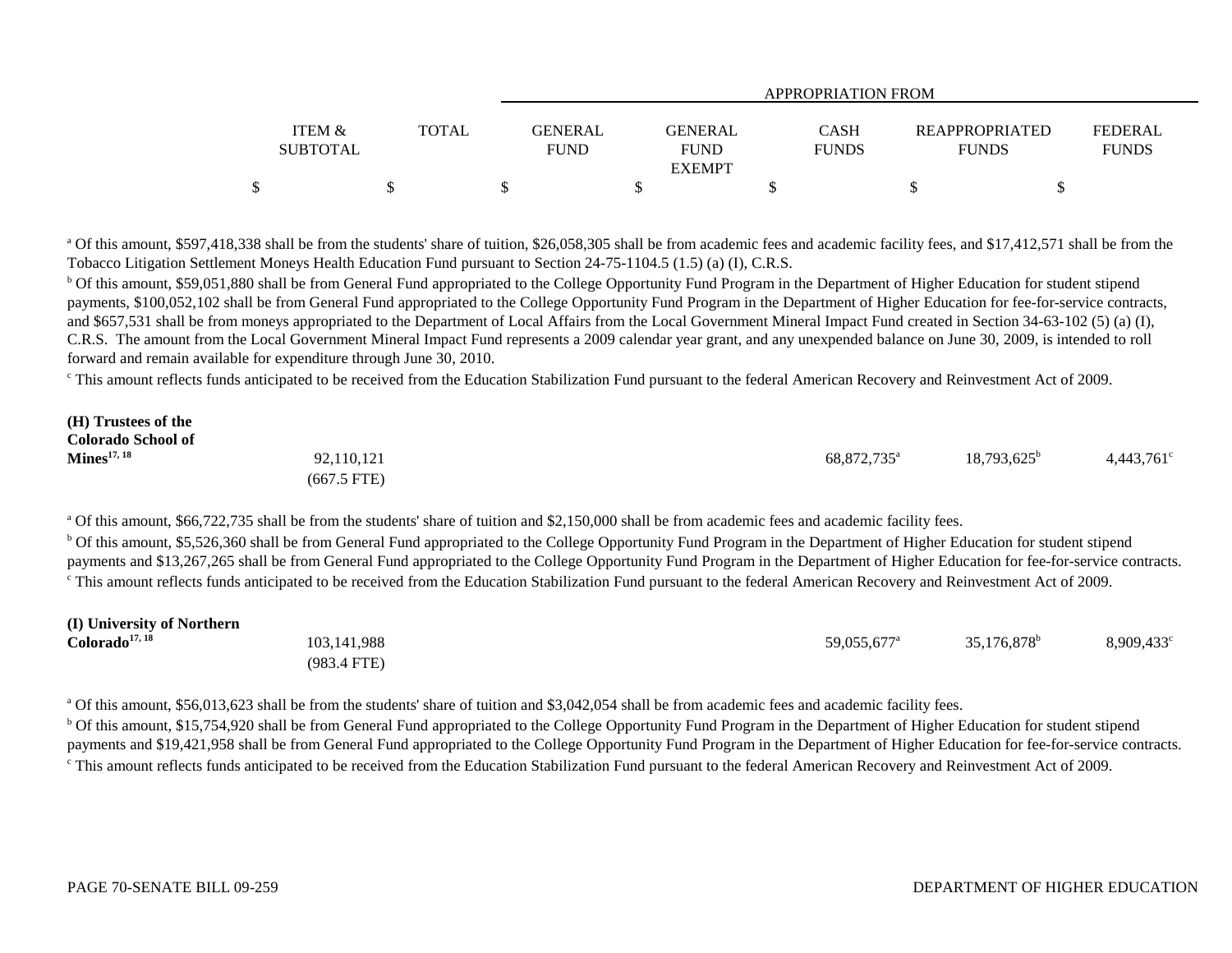|                                      |              |                               | APPROPRIATION FROM                             |                      |                                       |                                |  |  |  |  |
|--------------------------------------|--------------|-------------------------------|------------------------------------------------|----------------------|---------------------------------------|--------------------------------|--|--|--|--|
| <b>ITEM &amp;</b><br><b>SUBTOTAL</b> | <b>TOTAL</b> | <b>GENERAL</b><br><b>FUND</b> | <b>GENERAL</b><br><b>FUND</b><br><b>EXEMPT</b> | CASH<br><b>FUNDS</b> | <b>REAPPROPRIATED</b><br><b>FUNDS</b> | <b>FEDERAL</b><br><b>FUNDS</b> |  |  |  |  |
|                                      |              |                               |                                                |                      |                                       |                                |  |  |  |  |

<sup>a</sup> Of this amount, \$597,418,338 shall be from the students' share of tuition, \$26,058,305 shall be from academic fees and academic facility fees, and \$17,412,571 shall be from the Tobacco Litigation Settlement Moneys Health Education Fund pursuant to Section 24-75-1104.5 (1.5) (a) (I), C.R.S.

<sup>b</sup> Of this amount, \$59,051,880 shall be from General Fund appropriated to the College Opportunity Fund Program in the Department of Higher Education for student stipend payments, \$100,052,102 shall be from General Fund appropriated to the College Opportunity Fund Program in the Department of Higher Education for fee-for-service contracts, and \$657,531 shall be from moneys appropriated to the Department of Local Affairs from the Local Government Mineral Impact Fund created in Section 34-63-102 (5) (a) (I), C.R.S. The amount from the Local Government Mineral Impact Fund represents a 2009 calendar year grant, and any unexpended balance on June 30, 2009, is intended to roll forward and remain available for expenditure through June 30, 2010.

c This amount reflects funds anticipated to be received from the Education Stabilization Fund pursuant to the federal American Recovery and Reinvestment Act of 2009.

| (H) Trustees of the       |               |                         |                      |                     |
|---------------------------|---------------|-------------------------|----------------------|---------------------|
| <b>Colorado School of</b> |               |                         |                      |                     |
| $\mathbf{Mines}^{17, 18}$ | 92,110,121    | 68.872.735 <sup>a</sup> | $18,793,625^{\circ}$ | $4,443,761^{\circ}$ |
|                           | $(667.5$ FTE) |                         |                      |                     |

<sup>a</sup> Of this amount, \$66,722,735 shall be from the students' share of tuition and \$2,150,000 shall be from academic fees and academic facility fees.

<sup>b</sup> Of this amount, \$5,526,360 shall be from General Fund appropriated to the College Opportunity Fund Program in the Department of Higher Education for student stipend payments and \$13,267,265 shall be from General Fund appropriated to the College Opportunity Fund Program in the Department of Higher Education for fee-for-service contracts. <sup>c</sup> This amount reflects funds anticipated to be received from the Education Stabilization Fund pursuant to the federal American Recovery and Reinvestment Act of 2009.

| (I) University of Northern |               |                         |                      |                     |
|----------------------------|---------------|-------------------------|----------------------|---------------------|
| Colorado <sup>17, 18</sup> | 103, 141, 988 | 59.055.677 <sup>a</sup> | $35,176,878^{\rm b}$ | $8,909,433^{\circ}$ |
|                            | $(983.4$ FTE) |                         |                      |                     |

<sup>a</sup> Of this amount, \$56,013,623 shall be from the students' share of tuition and \$3,042,054 shall be from academic fees and academic facility fees.

<sup>b</sup> Of this amount, \$15,754,920 shall be from General Fund appropriated to the College Opportunity Fund Program in the Department of Higher Education for student stipend payments and \$19,421,958 shall be from General Fund appropriated to the College Opportunity Fund Program in the Department of Higher Education for fee-for-service contracts. <sup>c</sup> This amount reflects funds anticipated to be received from the Education Stabilization Fund pursuant to the federal American Recovery and Reinvestment Act of 2009.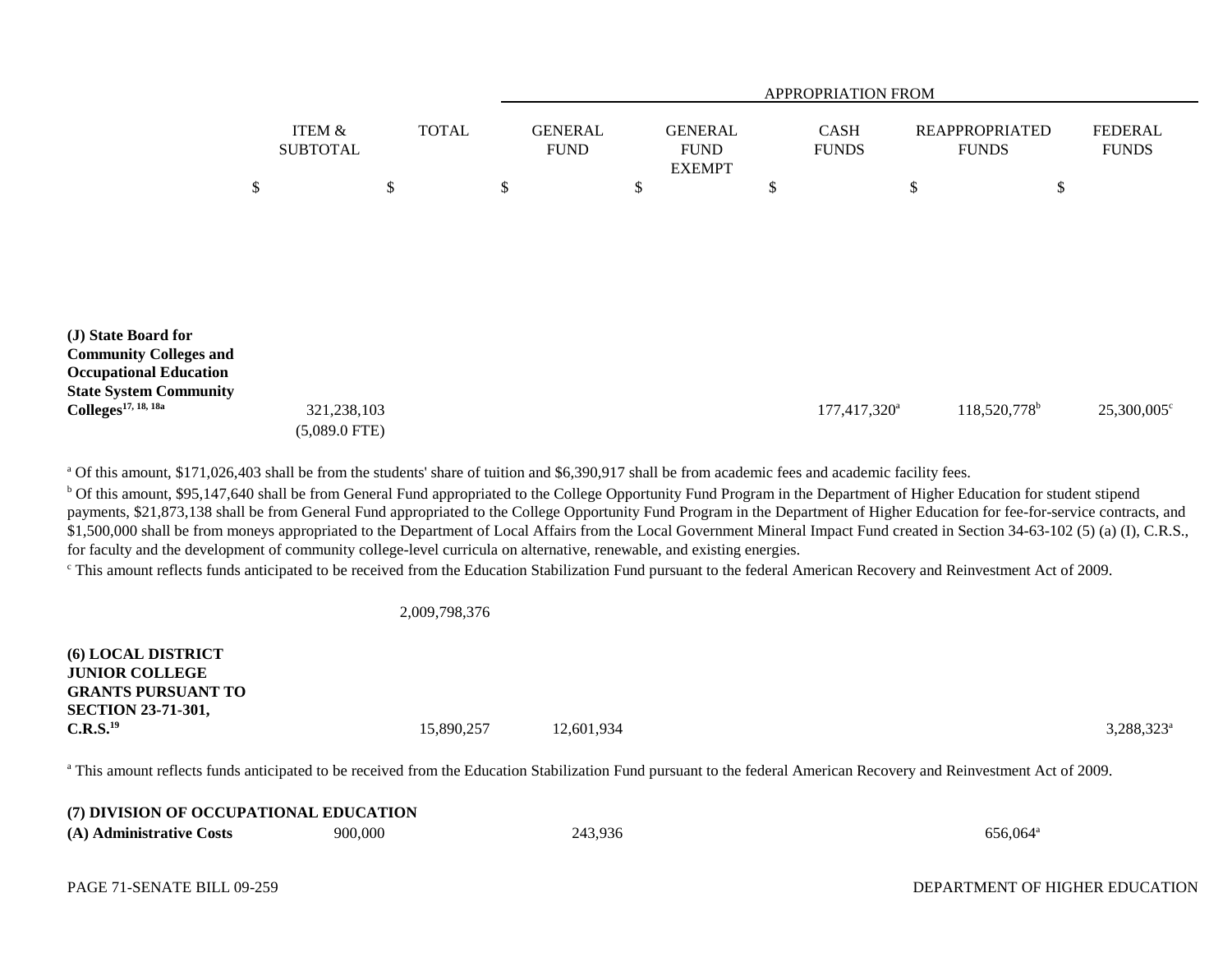|                                                                                                                        |                                |              | APPROPRIATION FROM            |    |                                                |    |                             |    |                                       |    |                                |
|------------------------------------------------------------------------------------------------------------------------|--------------------------------|--------------|-------------------------------|----|------------------------------------------------|----|-----------------------------|----|---------------------------------------|----|--------------------------------|
|                                                                                                                        | ITEM &<br><b>SUBTOTAL</b>      | <b>TOTAL</b> | <b>GENERAL</b><br><b>FUND</b> |    | <b>GENERAL</b><br><b>FUND</b><br><b>EXEMPT</b> |    | <b>CASH</b><br><b>FUNDS</b> |    | <b>REAPPROPRIATED</b><br><b>FUNDS</b> |    | <b>FEDERAL</b><br><b>FUNDS</b> |
|                                                                                                                        | \$                             | \$           | \$                            | \$ |                                                | \$ |                             | \$ |                                       | \$ |                                |
| (J) State Board for<br><b>Community Colleges and</b><br><b>Occupational Education</b><br><b>State System Community</b> |                                |              |                               |    |                                                |    |                             |    |                                       |    |                                |
| $\text{Colleges}^{17, 18, 18a}$                                                                                        | 321,238,103<br>$(5,089.0$ FTE) |              |                               |    |                                                |    | 177,417,320 <sup>a</sup>    |    | 118,520,778 <sup>b</sup>              |    | 25,300,005°                    |

<sup>a</sup> Of this amount, \$171,026,403 shall be from the students' share of tuition and \$6,390,917 shall be from academic fees and academic facility fees.

<sup>b</sup> Of this amount, \$95,147,640 shall be from General Fund appropriated to the College Opportunity Fund Program in the Department of Higher Education for student stipend payments, \$21,873,138 shall be from General Fund appropriated to the College Opportunity Fund Program in the Department of Higher Education for fee-for-service contracts, and \$1,500,000 shall be from moneys appropriated to the Department of Local Affairs from the Local Government Mineral Impact Fund created in Section 34-63-102 (5) (a) (I), C.R.S., for faculty and the development of community college-level curricula on alternative, renewable, and existing energies.

<sup>c</sup> This amount reflects funds anticipated to be received from the Education Stabilization Fund pursuant to the federal American Recovery and Reinvestment Act of 2009.

2,009,798,376

**(6) LOCAL DISTRICT JUNIOR COLLEGEGRANTS PURSUANT TOSECTION 23-71-301, C.R.S.**<sup>19</sup> 3,288,323<sup>a</sup> 3,288,323<sup>a</sup> 42,601,934 3,288,323<sup>a</sup>

<sup>a</sup> This amount reflects funds anticipated to be received from the Education Stabilization Fund pursuant to the federal American Recovery and Reinvestment Act of 2009.

| (7) DIVISION OF OCCUPATIONAL EDUCATION |         |         |                      |
|----------------------------------------|---------|---------|----------------------|
| (A) Administrative Costs               | 900,000 | 243,936 | 656.064 <sup>a</sup> |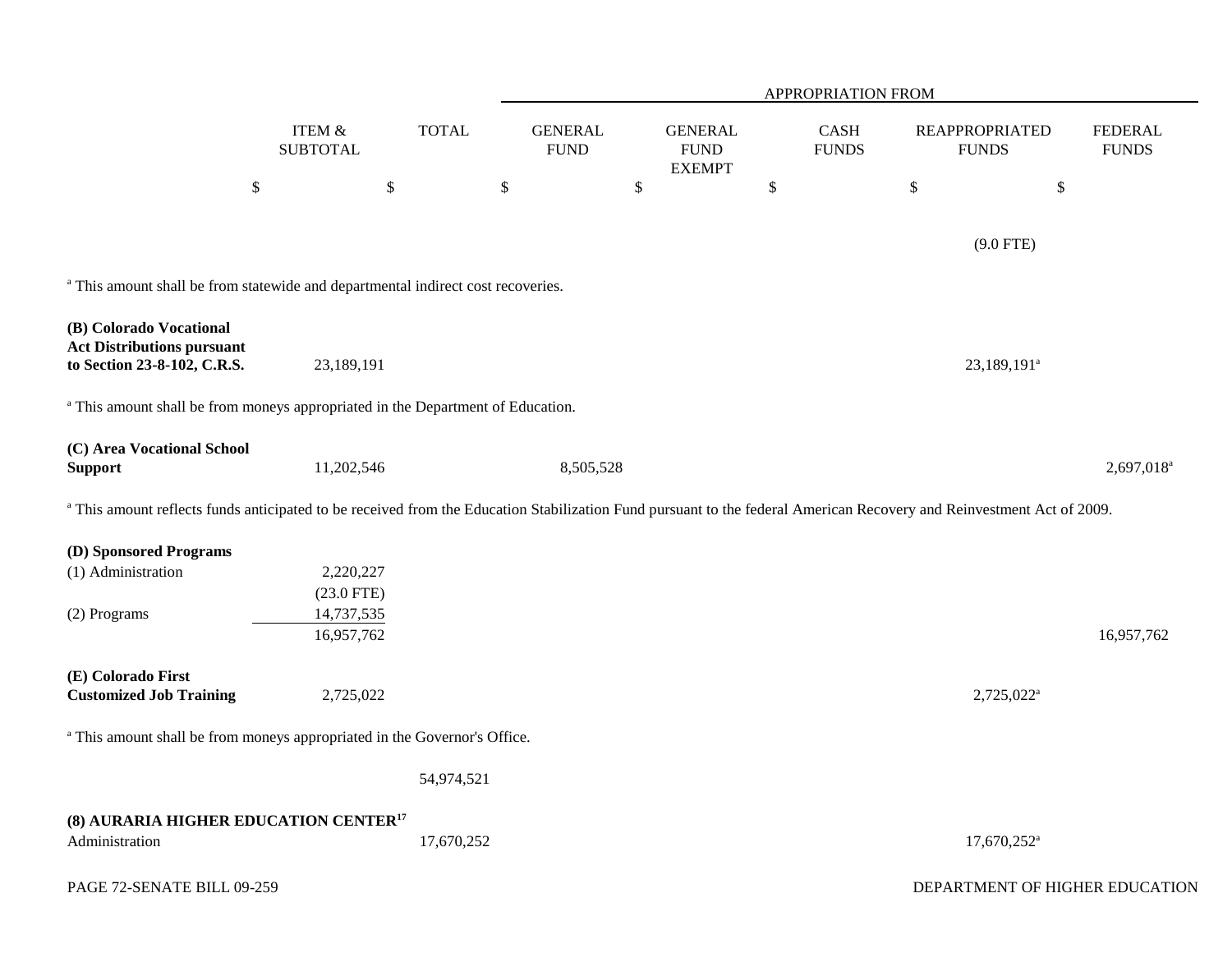|                                                                                                                                                                                  |                            |              |                               | APPROPRIATION FROM |                                                |      |                      |                                       |                                |  |  |
|----------------------------------------------------------------------------------------------------------------------------------------------------------------------------------|----------------------------|--------------|-------------------------------|--------------------|------------------------------------------------|------|----------------------|---------------------------------------|--------------------------------|--|--|
|                                                                                                                                                                                  | ITEM &<br><b>SUBTOTAL</b>  | <b>TOTAL</b> | <b>GENERAL</b><br><b>FUND</b> |                    | <b>GENERAL</b><br><b>FUND</b><br><b>EXEMPT</b> |      | CASH<br><b>FUNDS</b> | <b>REAPPROPRIATED</b><br><b>FUNDS</b> | <b>FEDERAL</b><br><b>FUNDS</b> |  |  |
|                                                                                                                                                                                  | $\boldsymbol{\$}$          | $\$$         | $\mathbb{S}$                  | $\$$               |                                                | $\$$ |                      | \$                                    | $\mathbb{S}$                   |  |  |
|                                                                                                                                                                                  |                            |              |                               |                    |                                                |      |                      | $(9.0$ FTE)                           |                                |  |  |
| <sup>a</sup> This amount shall be from statewide and departmental indirect cost recoveries.                                                                                      |                            |              |                               |                    |                                                |      |                      |                                       |                                |  |  |
| (B) Colorado Vocational<br><b>Act Distributions pursuant</b><br>to Section 23-8-102, C.R.S.                                                                                      | 23,189,191                 |              |                               |                    |                                                |      |                      | 23,189,191 <sup>a</sup>               |                                |  |  |
|                                                                                                                                                                                  |                            |              |                               |                    |                                                |      |                      |                                       |                                |  |  |
| <sup>a</sup> This amount shall be from moneys appropriated in the Department of Education.                                                                                       |                            |              |                               |                    |                                                |      |                      |                                       |                                |  |  |
| (C) Area Vocational School<br><b>Support</b>                                                                                                                                     | 11,202,546                 |              | 8,505,528                     |                    |                                                |      |                      |                                       | 2,697,018 <sup>a</sup>         |  |  |
| <sup>a</sup> This amount reflects funds anticipated to be received from the Education Stabilization Fund pursuant to the federal American Recovery and Reinvestment Act of 2009. |                            |              |                               |                    |                                                |      |                      |                                       |                                |  |  |
| (D) Sponsored Programs                                                                                                                                                           |                            |              |                               |                    |                                                |      |                      |                                       |                                |  |  |
| (1) Administration                                                                                                                                                               | 2,220,227                  |              |                               |                    |                                                |      |                      |                                       |                                |  |  |
| (2) Programs                                                                                                                                                                     | $(23.0$ FTE)<br>14,737,535 |              |                               |                    |                                                |      |                      |                                       |                                |  |  |
|                                                                                                                                                                                  | 16,957,762                 |              |                               |                    |                                                |      |                      |                                       | 16,957,762                     |  |  |
| (E) Colorado First<br><b>Customized Job Training</b>                                                                                                                             | 2,725,022                  |              |                               |                    |                                                |      |                      | $2,725,022^{\mathrm{a}}$              |                                |  |  |
| <sup>a</sup> This amount shall be from moneys appropriated in the Governor's Office.                                                                                             |                            |              |                               |                    |                                                |      |                      |                                       |                                |  |  |
|                                                                                                                                                                                  |                            | 54,974,521   |                               |                    |                                                |      |                      |                                       |                                |  |  |
| (8) AURARIA HIGHER EDUCATION CENTER <sup>17</sup>                                                                                                                                |                            |              |                               |                    |                                                |      |                      |                                       |                                |  |  |
| Administration                                                                                                                                                                   |                            | 17,670,252   |                               |                    |                                                |      |                      | $17,670,252$ <sup>a</sup>             |                                |  |  |
| PAGE 72-SENATE BILL 09-259                                                                                                                                                       |                            |              |                               |                    |                                                |      |                      | DEPARTMENT OF HIGHER EDUCATION        |                                |  |  |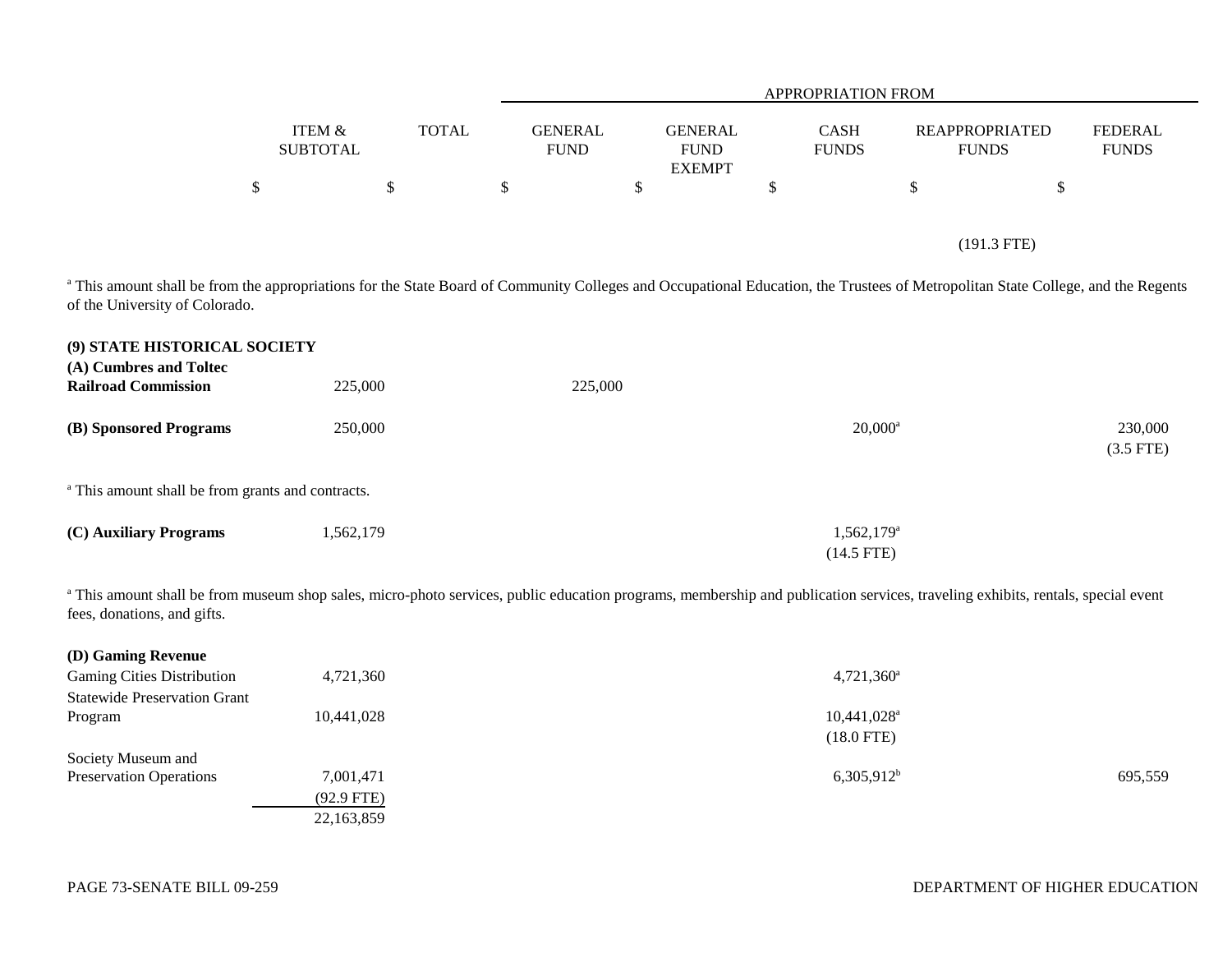|        |          |                                               | <b>APPROPRIATION FROM</b>                      |                             |  |                                                                         |  |  |  |  |
|--------|----------|-----------------------------------------------|------------------------------------------------|-----------------------------|--|-------------------------------------------------------------------------|--|--|--|--|
| ITEM & | SUBTOTAL | <b>TOTAL</b><br><b>GENERAL</b><br><b>FUND</b> | <b>GENERAL</b><br><b>FUND</b><br><b>EXEMPT</b> | <b>CASH</b><br><b>FUNDS</b> |  | <b>FEDERAL</b><br><b>REAPPROPRIATED</b><br><b>FUNDS</b><br><b>FUNDS</b> |  |  |  |  |
| \$     | \$       | \$                                            | \$                                             | D                           |  | \$                                                                      |  |  |  |  |
|        |          |                                               |                                                |                             |  | $(191.3$ FTE)                                                           |  |  |  |  |

<sup>a</sup> This amount shall be from the appropriations for the State Board of Community Colleges and Occupational Education, the Trustees of Metropolitan State College, and the Regents of the University of Colorado.

| (9) STATE HISTORICAL SOCIETY                                 |           |         |                          |             |
|--------------------------------------------------------------|-----------|---------|--------------------------|-------------|
| (A) Cumbres and Toltec                                       |           |         |                          |             |
| <b>Railroad Commission</b>                                   | 225,000   | 225,000 |                          |             |
|                                                              |           |         |                          |             |
| (B) Sponsored Programs                                       | 250,000   |         | $20,000^a$               | 230,000     |
|                                                              |           |         |                          | $(3.5$ FTE) |
|                                                              |           |         |                          |             |
| <sup>a</sup> This amount shall be from grants and contracts. |           |         |                          |             |
|                                                              |           |         |                          |             |
| (C) Auxiliary Programs                                       | 1,562,179 |         | $1,562,179$ <sup>a</sup> |             |
|                                                              |           |         |                          |             |
|                                                              |           |         | $(14.5$ FTE)             |             |

<sup>a</sup> This amount shall be from museum shop sales, micro-photo services, public education programs, membership and publication services, traveling exhibits, rentals, special event fees, donations, and gifts.

| (D) Gaming Revenue                  |              |                           |         |
|-------------------------------------|--------------|---------------------------|---------|
| <b>Gaming Cities Distribution</b>   | 4,721,360    | $4,721,360$ <sup>a</sup>  |         |
| <b>Statewide Preservation Grant</b> |              |                           |         |
| Program                             | 10,441,028   | $10,441,028$ <sup>a</sup> |         |
|                                     |              | $(18.0$ FTE)              |         |
| Society Museum and                  |              |                           |         |
| <b>Preservation Operations</b>      | 7,001,471    | $6,305,912^b$             | 695,559 |
|                                     | $(92.9$ FTE) |                           |         |
|                                     | 22,163,859   |                           |         |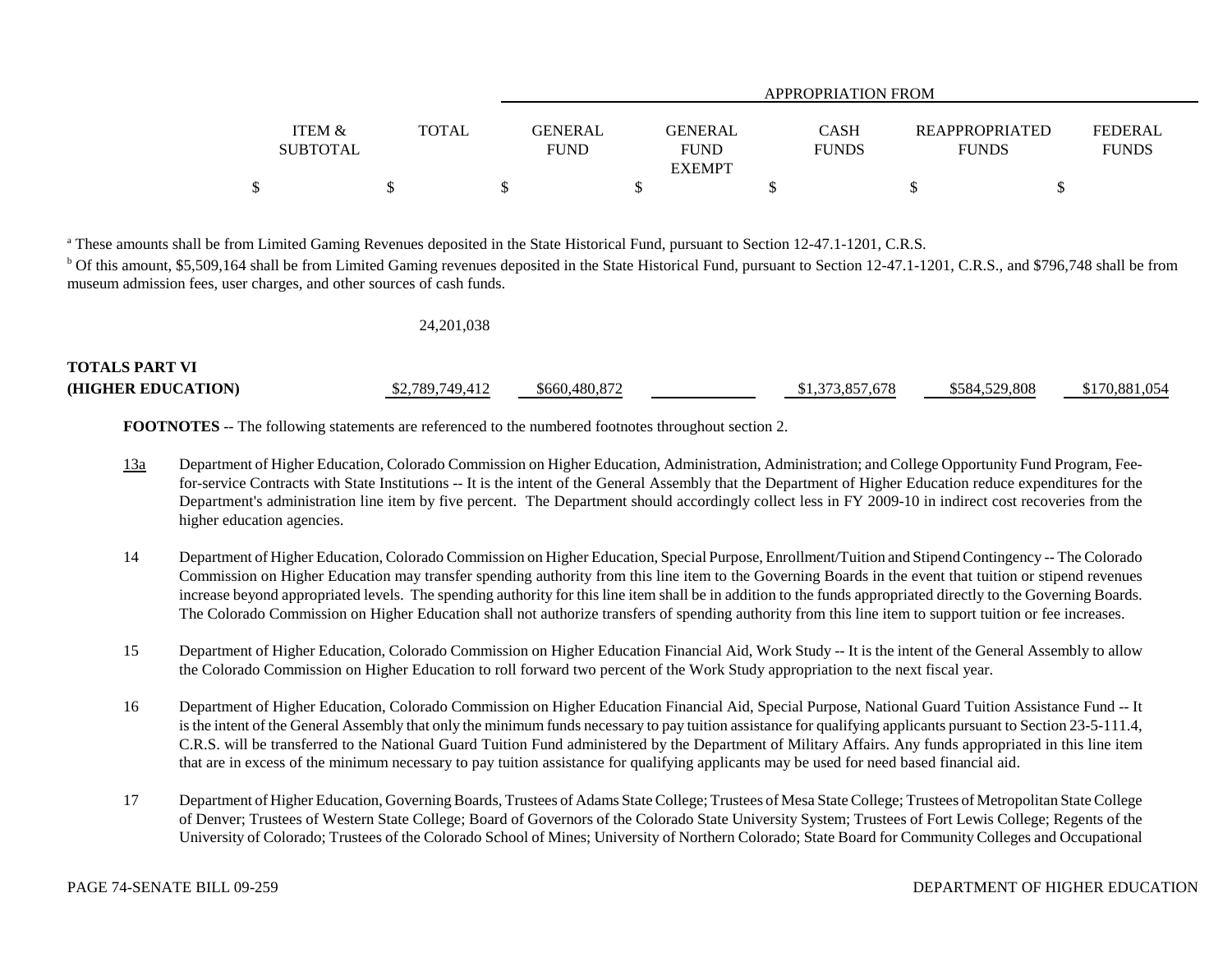|                                      |              | APPROPRIATION FROM                                      |                             |                                       |                                |  |  |  |  |
|--------------------------------------|--------------|---------------------------------------------------------|-----------------------------|---------------------------------------|--------------------------------|--|--|--|--|
| <b>ITEM &amp;</b><br><b>SUBTOTAL</b> | <b>TOTAL</b> | GENERAL<br><b>GENERAL</b><br><b>FUND</b><br><b>FUND</b> | <b>CASH</b><br><b>FUNDS</b> | <b>REAPPROPRIATED</b><br><b>FUNDS</b> | <b>FEDERAL</b><br><b>FUNDS</b> |  |  |  |  |
|                                      |              | <b>EXEMPT</b>                                           |                             |                                       |                                |  |  |  |  |
|                                      |              |                                                         |                             |                                       |                                |  |  |  |  |

<sup>a</sup> These amounts shall be from Limited Gaming Revenues deposited in the State Historical Fund, pursuant to Section 12-47.1-1201, C.R.S.

<sup>b</sup> Of this amount, \$5,509,164 shall be from Limited Gaming revenues deposited in the State Historical Fund, pursuant to Section 12-47.1-1201, C.R.S., and \$796,748 shall be from museum admission fees, user charges, and other sources of cash funds.

|                       | 24, 201, 038    |               |                 |               |               |
|-----------------------|-----------------|---------------|-----------------|---------------|---------------|
| <b>TOTALS PART VI</b> |                 |               |                 |               |               |
| (HIGHER EDUCATION)    | \$2,789,749,412 | \$660,480,872 | \$1,373,857,678 | \$584,529,808 | \$170,881,054 |

**FOOTNOTES** -- The following statements are referenced to the numbered footnotes throughout section 2.

- 13a Department of Higher Education, Colorado Commission on Higher Education, Administration, Administration; and College Opportunity Fund Program, Feefor-service Contracts with State Institutions -- It is the intent of the General Assembly that the Department of Higher Education reduce expenditures for the Department's administration line item by five percent. The Department should accordingly collect less in FY 2009-10 in indirect cost recoveries from the higher education agencies.
- 14 Department of Higher Education, Colorado Commission on Higher Education, Special Purpose, Enrollment/Tuition and Stipend Contingency -- The Colorado Commission on Higher Education may transfer spending authority from this line item to the Governing Boards in the event that tuition or stipend revenues increase beyond appropriated levels. The spending authority for this line item shall be in addition to the funds appropriated directly to the Governing Boards. The Colorado Commission on Higher Education shall not authorize transfers of spending authority from this line item to support tuition or fee increases.
- 15 Department of Higher Education, Colorado Commission on Higher Education Financial Aid, Work Study -- It is the intent of the General Assembly to allow the Colorado Commission on Higher Education to roll forward two percent of the Work Study appropriation to the next fiscal year.
- 16 Department of Higher Education, Colorado Commission on Higher Education Financial Aid, Special Purpose, National Guard Tuition Assistance Fund -- It is the intent of the General Assembly that only the minimum funds necessary to pay tuition assistance for qualifying applicants pursuant to Section 23-5-111.4, C.R.S. will be transferred to the National Guard Tuition Fund administered by the Department of Military Affairs. Any funds appropriated in this line item that are in excess of the minimum necessary to pay tuition assistance for qualifying applicants may be used for need based financial aid.
- 17 Department of Higher Education, Governing Boards, Trustees of Adams State College; Trustees of Mesa State College; Trustees of Metropolitan State College of Denver; Trustees of Western State College; Board of Governors of the Colorado State University System; Trustees of Fort Lewis College; Regents of the University of Colorado; Trustees of the Colorado School of Mines; University of Northern Colorado; State Board for Community Colleges and Occupational